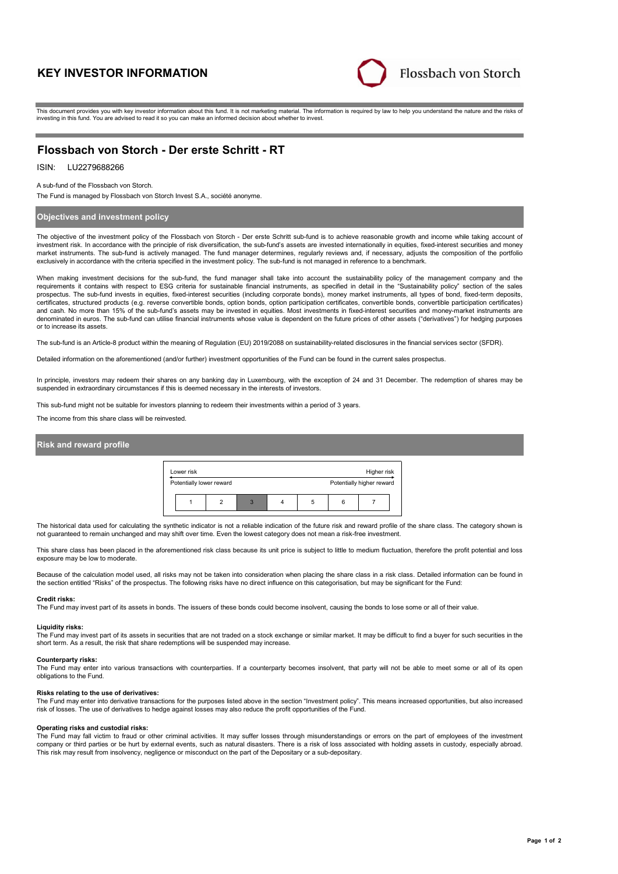# **KEY INVESTOR INFORMATION**



This document provides you with key investor information about this fund. It is not marketing material. The information is required by law to help you understand the nature and the risks of investing in this fund. You are advised to read it so you can make an informed decision about whether to invest.

# **Flossbach von Storch - Der erste Schritt - RT**

## ISIN: LU2279688266

A sub-fund of the Flossbach von Storch.

The Fund is managed by Flossbach von Storch Invest S.A., société anonyme.

## **Objectives and investment policy**

The objective of the investment policy of the Flossbach von Storch - Der erste Schritt sub-fund is to achieve reasonable growth and income while taking account of investment risk. In accordance with the principle of risk diversification, the sub-fund's assets are invested internationally in equities, fixed-interest securities and money market instruments. The sub-fund is actively managed. The fund manager determines, regularly reviews and, if necessary, adjusts the composition of the portfolio exclusively in accordance with the criteria specified in the investment policy. The sub-fund is not managed in reference to a benchmark.

When making investment decisions for the sub-fund, the fund manager shall take into account the sustainability policy of the management company and the<br>requirements it contains with respect to ESG criteria for sustainable certificates, structured products (e.g. reverse convertible bonds, option bonds, option participation certificates, convertible bonds, convertible participation certificates) and cash. No more than 15% of the sub-fund's assets may be invested in equities. Most investments in fixed-interest securities and money-market instruments are denominated in euros. The sub-fund can utilise financial instruments whose value is dependent on the future prices of other assets ("derivatives") for hedging purposes or to increase its assets.

The sub-fund is an Article-8 product within the meaning of Regulation (EU) 2019/2088 on sustainability-related disclosures in the financial services sector (SFDR).

Detailed information on the aforementioned (and/or further) investment opportunities of the Fund can be found in the current sales prospectus.

In principle, investors may redeem their shares on any banking day in Luxembourg, with the exception of 24 and 31 December. The redemption of shares may be suspended in extraordinary circumstances if this is deemed necessary in the interests of investors.

This sub-fund might not be suitable for investors planning to redeem their investments within a period of 3 years.

The income from this share class will be reinvested

## **Risk and reward profile**



The historical data used for calculating the synthetic indicator is not a reliable indication of the future risk and reward profile of the share class. The category shown is not guaranteed to remain unchanged and may shift over time. Even the lowest category does not mean a risk-free investment.

This share class has been placed in the aforementioned risk class because its unit price is subject to little to medium fluctuation, therefore the profit potential and loss exposure may be low to moderate

Because of the calculation model used, all risks may not be taken into consideration when placing the share class in a risk class. Detailed information can be found in the section entitled "Risks" of the prospectus. The following risks have no direct influence on this categorisation, but may be significant for the Fund:

#### **Credit risks:**

The Fund may invest part of its assets in bonds. The issuers of these bonds could become insolvent, causing the bonds to lose some or all of their value.

#### **Liquidity risks:**

The Fund may invest part of its assets in securities that are not traded on a stock exchange or similar market. It may be difficult to find a buyer for such securities in the short term. As a result, the risk that share redemptions will be suspended may increase.

#### **Counterparty risks:**

The Fund may enter into various transactions with counterparties. If a counterparty becomes insolvent, that party will not be able to meet some or all of its open obligations to the Fund.

#### **Risks relating to the use of derivatives:**

The Fund may enter into derivative transactions for the purposes listed above in the section "Investment policy". This means increased opportunities, but also increased risk of losses. The use of derivatives to hedge against losses may also reduce the profit opportunities of the Fund.

#### **Operating risks and custodial risks:**

The Fund may fall victim to fraud or other criminal activities. It may suffer losses through misunderstandings or errors on the part of employees of the investment company or third parties or be hurt by external events, such as natural disasters. There is a risk of loss associated with holding assets in custody, especially abroad. This risk may result from insolvency, negligence or misconduct on the part of the Depositary or a sub-depositary.